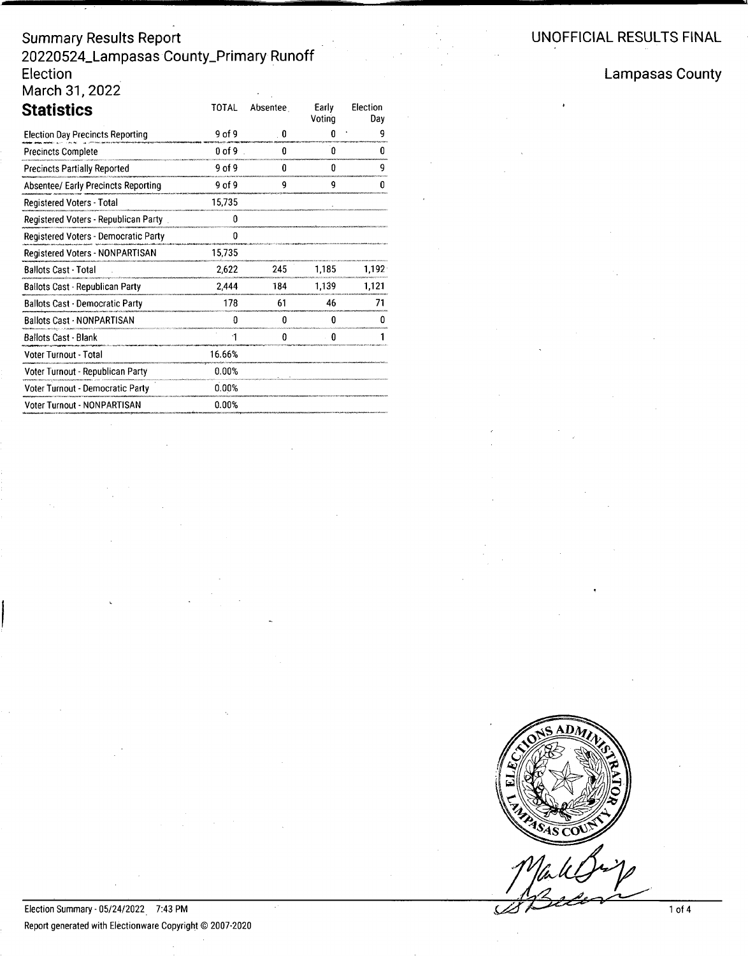## **UNOFFICIAL RE8UL 18 FINAL**

## **Summary Results Report 20220524\_LampasasCounty\_Primary Runoff Election March 31, 2022**

| <b>Statistics</b>                          | <b>TOTAL</b> | Absentee | Early<br>Votina | Election<br>Dav |
|--------------------------------------------|--------------|----------|-----------------|-----------------|
| <b>Election Day Precincts Reporting</b>    | 9 of 9       | . 0      | a               | 9               |
| <b>Precincts Complete</b>                  | $0$ of 9     | ſ.       | Û               | O               |
| <b>Precincts Partially Reported</b>        | 9 of 9       | 0        | O               | 9               |
| <b>Absentee/ Early Precincts Reporting</b> | 9 of 9       | 9        | g               | U               |
| Registered Voters - Total                  | 15,735       |          |                 |                 |
| Registered Voters - Republican Party       | o            |          |                 |                 |
| Registered Voters - Democratic Party       | 0            |          |                 |                 |
| Registered Voters - NONPARTISAN            | 15,735       |          |                 |                 |
| <b>Ballots Cast - Total</b>                | 2,622        | 245      | 1.185           | 1.192           |
| Ballots Cast - Republican Party            | 2444         | 184      | 1,139           | 1,121           |
| <b>Ballots Cast - Democratic Party</b>     | 178          | 61       | 46              | 71              |
| <b>Ballots Cast - NONPARTISAN</b>          | ŋ            | n        | n               | n               |
| <b>Ballots Cast - Blank</b>                | 1            | 0        | O               |                 |
| Voter Turnout - Total                      | 16.66%       |          |                 |                 |
| Voter Turnout - Republican Party           | 0.00%        |          |                 |                 |
| Voter Turnout - Democratic Party           | 0.00%        |          |                 |                 |
| Voter Turnout - NONPARTISAN                | 0.00%        |          |                 |                 |

**Lampasas County**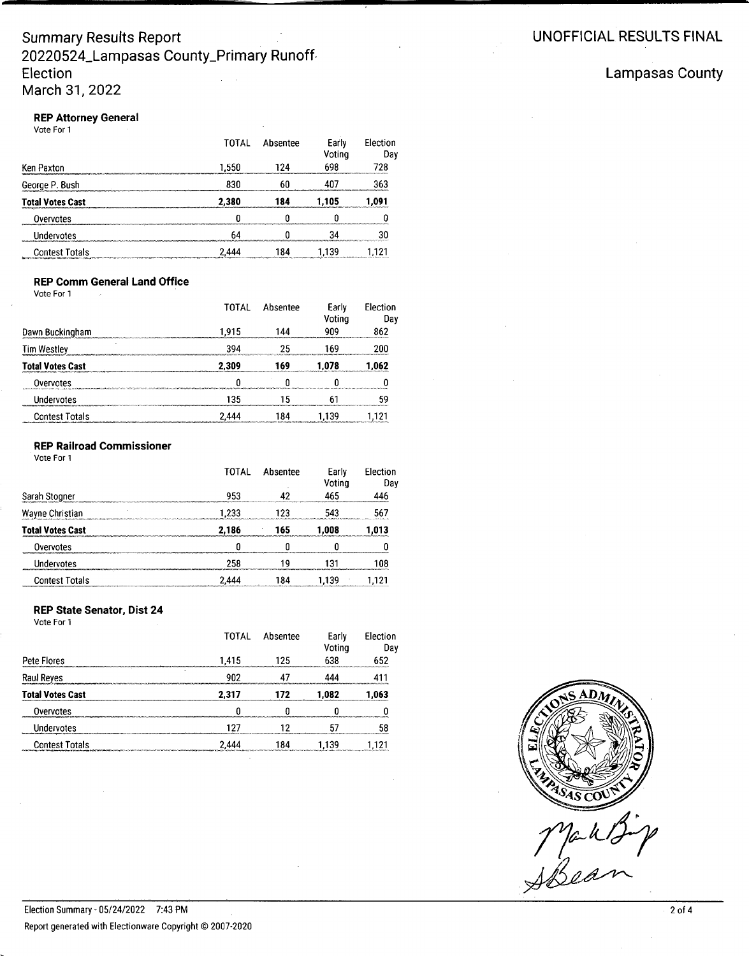#### **REP Attorney General** Vote For 1

|                                                                                                                                       | TOTAL | Absentee | Early<br>Voting | Election<br>Dav |
|---------------------------------------------------------------------------------------------------------------------------------------|-------|----------|-----------------|-----------------|
| Ken Paxton                                                                                                                            | 1.550 | 124      | 698             | 728             |
| George P. Bush                                                                                                                        | 830   | 60       |                 | 363             |
| <b>Total Votes Cast</b>                                                                                                               | 2.380 | 184      | 1.105           | 1.091           |
| Overvotes<br>manazarta terminensis                                                                                                    |       |          |                 |                 |
| Undervotes                                                                                                                            |       |          |                 |                 |
| Contest Totals<br>aga. Latin aprovincia la grande la provincia del composto del componente del composto del contenta del del temporal | 2.444 | 84       | 139             | 121             |

#### **REP Comm General Land Office**

| Vote For 1              |       |          |                 |                 |
|-------------------------|-------|----------|-----------------|-----------------|
|                         | TOTAL | Absentee | Early<br>Voting | Election<br>Day |
| Dawn Buckingham         | 1.915 | 144      | 909             | 862             |
| <b>Tim Westley</b>      | 394   | 25       | 169             | շոո             |
| <b>Total Votes Cast</b> | 2,309 | 169      | 1.078           | 1.062           |
| Overvotes               |       |          |                 |                 |
| Undervotes              | 135   |          |                 | 59              |
| <b>Contest Totals</b>   | 2.444 | 84       | 1.139           |                 |

#### **REP Railroad Commissioner**

Vote For 1

|                         | TOTAL | Absentee | Early<br>Votina | Election<br>Day |
|-------------------------|-------|----------|-----------------|-----------------|
| Sarah Stogner           | 953   |          | 465             | 446             |
| Wayne Christian         | 1,233 | -23      |                 | 567             |
| <b>Total Votes Cast</b> | 2,186 | 165      | 1.008           | 1.013           |
| Overvotes               |       |          |                 |                 |
| Undervotes              | 258   |          |                 | 108             |
| Contest Totals          | 2.444 | -84      | 1.139           | 121             |

#### **REP State Senator, Dist 24**

Election Summary - 05/24/2022 7:43 PM

Vote For 1

|                                                                                                                                                                                                                                                         | TOTAL                                                                | Absentee | Early<br>Voting | Election<br>Day |
|---------------------------------------------------------------------------------------------------------------------------------------------------------------------------------------------------------------------------------------------------------|----------------------------------------------------------------------|----------|-----------------|-----------------|
| Pete Flores                                                                                                                                                                                                                                             | 1.415                                                                | 125      |                 | 652             |
| Raul Reyes                                                                                                                                                                                                                                              |                                                                      |          |                 |                 |
| <b>Total Votes Cast</b>                                                                                                                                                                                                                                 | 2.317                                                                |          | 1.082           | 1.063           |
| Overvotes                                                                                                                                                                                                                                               |                                                                      |          |                 |                 |
| Undervotes                                                                                                                                                                                                                                              | advalentaleestavasestaleessa suuristava suurista siiraa sin suurista |          |                 |                 |
| <b>Contest Totals</b><br>wang was a substitute to the through the contract of the contract of the contract of the contract of the procedure of the contract of the contract of the contract of the contract of the contract of the contract of the cont | 2.444                                                                |          |                 |                 |

## **Lampasas County**

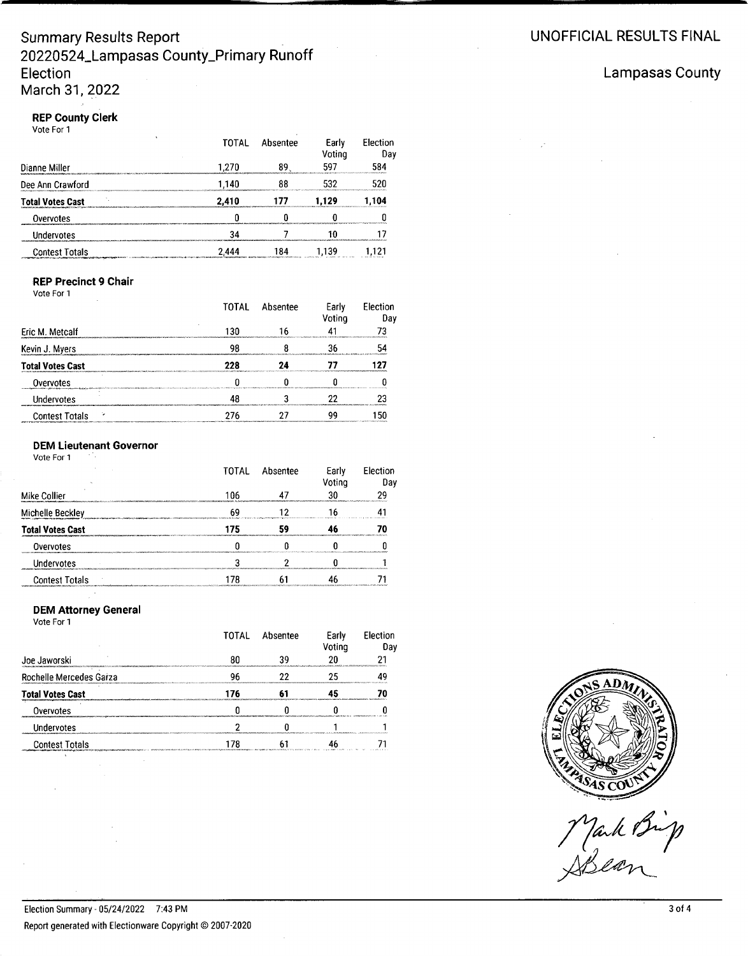## **Summary Results Report 20220524\_Lampasas County\_Primary Runoff Election March 31, 2022**

#### **REP County Clerk** Vote For 1

|                            | TOTAL | Absentee | Early<br>Voting | Election<br>Day |
|----------------------------|-------|----------|-----------------|-----------------|
| Dianne Miller              | 1.270 |          |                 | 584             |
| Dee Ann Crawford           | 1.140 |          |                 |                 |
| <b>Total Votes Cast</b>    | 2,410 |          | 1.129           | 1.104           |
| Overvotes                  |       |          |                 |                 |
| Undervotes                 |       |          |                 |                 |
| <b>Contest Totals</b><br>. | 2.444 | 84       |                 |                 |

## **REP Precinct 9 Chair**

Vote For 1

|                                                                                                                                                                                                                                             | TOTAL | Absentee                                                                                                       | Early<br>Voting                                                                                      | Flection<br>Dav |
|---------------------------------------------------------------------------------------------------------------------------------------------------------------------------------------------------------------------------------------------|-------|----------------------------------------------------------------------------------------------------------------|------------------------------------------------------------------------------------------------------|-----------------|
| Eric M. Metcalf                                                                                                                                                                                                                             | 130   |                                                                                                                |                                                                                                      |                 |
| Kevin J. Myers                                                                                                                                                                                                                              |       | hand descendent and hand the description of the control of the description of the definition of the control of |                                                                                                      |                 |
| <b>Total Votes Cast</b>                                                                                                                                                                                                                     |       |                                                                                                                |                                                                                                      |                 |
| Overvotes<br>manager and a straight of the complete the community of the community of the community of the community of the community of the community of the community of the community of the community of the community of the community |       |                                                                                                                |                                                                                                      |                 |
| Undervotes                                                                                                                                                                                                                                  |       |                                                                                                                | ebasan berasta secara an annoni 1990 i exerceti 1990 i 1990 i 1990 i 1990 i 1990 e estatuna e secara |                 |
| <b>Contest Totals</b>                                                                                                                                                                                                                       |       |                                                                                                                |                                                                                                      |                 |

#### **OEM Lieutenant Governor**

Vote For 1

|                         | TOTAI | Absentee                                                                                                                    | Early<br>Votina | <b>Election</b><br>Dav                                      |
|-------------------------|-------|-----------------------------------------------------------------------------------------------------------------------------|-----------------|-------------------------------------------------------------|
| Mike Collier            | 106   |                                                                                                                             |                 | <b>MAGAZINARIO POLITIKA PROGRAMA DI LA POLITIKA</b>         |
| Michelle Beckley        |       | the control of the control of the control of the control of the control of the control of the control of the control of the |                 |                                                             |
| <b>Total Votes Cast</b> |       |                                                                                                                             |                 |                                                             |
| Overvotes               |       |                                                                                                                             |                 |                                                             |
| Undervotes              |       |                                                                                                                             |                 | a matamana a mana a sa san sa san sa sa sa sa sa sa sa sa s |
| <b>Contest Totals</b>   |       |                                                                                                                             |                 |                                                             |

#### **OEM Attorney General**

Vote For 1

|                                                                  | TOTAI                                                                                                       | Absentee                                                   | Early<br>'otina | <b>Election</b><br>Dav            |
|------------------------------------------------------------------|-------------------------------------------------------------------------------------------------------------|------------------------------------------------------------|-----------------|-----------------------------------|
| Joe Jaworski                                                     |                                                                                                             | 20                                                         |                 |                                   |
| Rochelle Mercedes Garza<br>************************************* |                                                                                                             |                                                            |                 |                                   |
| <b>Total Votes Cast</b>                                          |                                                                                                             |                                                            |                 | www.ahaan.ahaannaannaana.aannaana |
| Overvotes                                                        |                                                                                                             | MANAGARAHASI MANAGARAHASI MANAGAN MANAGAN MENGENYA MANAGAN |                 |                                   |
| <b>Indervotes</b>                                                |                                                                                                             |                                                            |                 |                                   |
| <b>Contest Totals</b>                                            | период метро пологую поляти до можно разметательно могла предоставлят потеблярт т.п. столько время от таких |                                                            |                 |                                   |

## **Lampasas County**

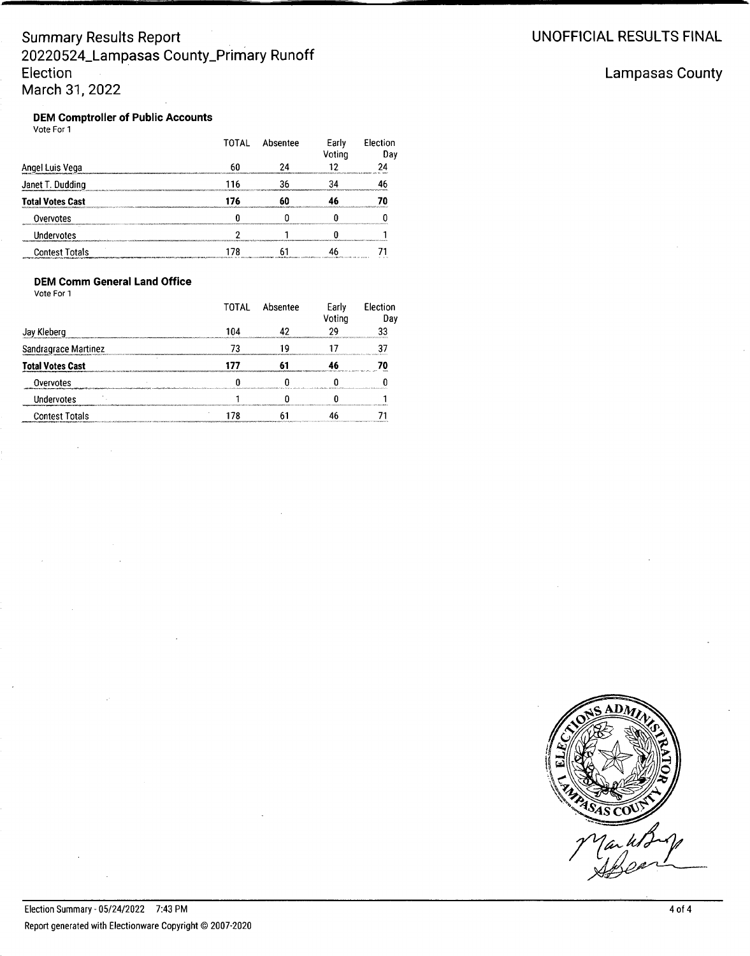## **Summary Results Report 20220524\_Lampasas County\_Primary Runoff Election March 31. 2022**

## **Lampasas County**

## **OEM Comptroller of Public Accounts**

| Vote For 1              |       |          |                 |                 |
|-------------------------|-------|----------|-----------------|-----------------|
|                         | TOTAL | Absentee | Early<br>Voting | Election<br>Day |
| Angel Luis Vega         |       |          |                 |                 |
| Janet T. Dudding        |       |          |                 |                 |
| <b>Total Votes Cast</b> | 76    |          |                 |                 |
| Overvotes               |       |          |                 |                 |
| Undervotes              |       |          |                 |                 |
| <b>Contest Totals</b>   |       |          |                 |                 |

### **OEM Comm General Land Office**

Vote For 1

|                         | ΤΩΤΑΙ | Absentee | Earlv<br>/otina                        | <b>Election</b><br>Dav                    |
|-------------------------|-------|----------|----------------------------------------|-------------------------------------------|
| Kleberg<br>av           | 104   |          |                                        |                                           |
| Sandragrace Martinez    |       |          |                                        | MARAGEMENTAL AUTOMOBILITY, MAL SHAKA KING |
| <b>Total Votes Cast</b> |       |          | concert of the company and the control |                                           |
| Overvotes               |       |          |                                        |                                           |
| Undervotes              |       |          |                                        |                                           |
| <b>Contest Totals</b>   |       |          |                                        |                                           |